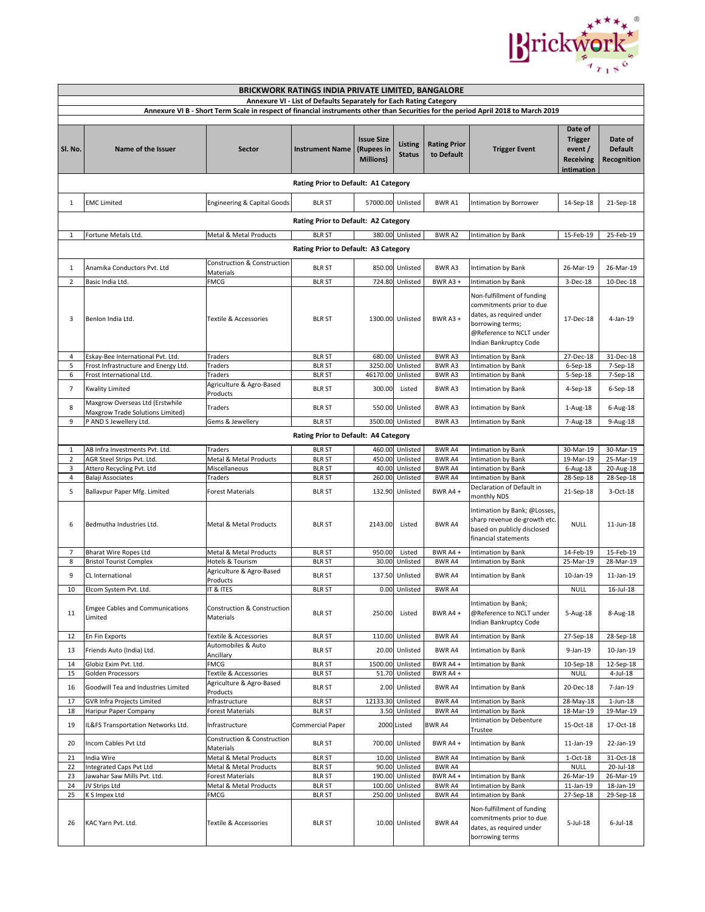

| <b>BRICKWORK RATINGS INDIA PRIVATE LIMITED, BANGALORE</b>                                                                          |                                                                                                                                       |                                              |                                      |                                              |                                     |                                   |                                                                                                                                                                                    |                                                                       |                                          |  |  |
|------------------------------------------------------------------------------------------------------------------------------------|---------------------------------------------------------------------------------------------------------------------------------------|----------------------------------------------|--------------------------------------|----------------------------------------------|-------------------------------------|-----------------------------------|------------------------------------------------------------------------------------------------------------------------------------------------------------------------------------|-----------------------------------------------------------------------|------------------------------------------|--|--|
| Annexure VI - List of Defaults Separately for Each Rating Category                                                                 |                                                                                                                                       |                                              |                                      |                                              |                                     |                                   |                                                                                                                                                                                    |                                                                       |                                          |  |  |
| Annexure VI B - Short Term Scale in respect of financial instruments other than Securities for the period April 2018 to March 2019 |                                                                                                                                       |                                              |                                      |                                              |                                     |                                   |                                                                                                                                                                                    |                                                                       |                                          |  |  |
| Sl. No.                                                                                                                            | Name of the Issuer                                                                                                                    | Sector                                       | <b>Instrument Name</b>               | <b>Issue Size</b><br>(Rupees in<br>Millions) | Listing<br><b>Status</b>            | <b>Rating Prior</b><br>to Default | <b>Trigger Event</b>                                                                                                                                                               | Date of<br><b>Trigger</b><br>event/<br><b>Receiving</b><br>intimation | Date of<br><b>Default</b><br>Recognition |  |  |
|                                                                                                                                    |                                                                                                                                       |                                              | Rating Prior to Default: A1 Category |                                              |                                     |                                   |                                                                                                                                                                                    |                                                                       |                                          |  |  |
| 1                                                                                                                                  | <b>EMC Limited</b>                                                                                                                    | <b>Engineering &amp; Capital Goods</b>       | <b>BLR ST</b>                        | 57000.00                                     | Unlisted                            | BWR A1                            | Intimation by Borrower                                                                                                                                                             | 14-Sep-18                                                             | 21-Sep-18                                |  |  |
|                                                                                                                                    | Rating Prior to Default: A2 Category                                                                                                  |                                              |                                      |                                              |                                     |                                   |                                                                                                                                                                                    |                                                                       |                                          |  |  |
| $\mathbf{1}$                                                                                                                       | Fortune Metals Ltd.                                                                                                                   | Metal & Metal Products                       | <b>BLR ST</b>                        |                                              | 380.00 Unlisted                     | BWR A2                            | <b>Intimation by Bank</b>                                                                                                                                                          | 15-Feb-19                                                             | 25-Feb-19                                |  |  |
|                                                                                                                                    | Rating Prior to Default: A3 Category                                                                                                  |                                              |                                      |                                              |                                     |                                   |                                                                                                                                                                                    |                                                                       |                                          |  |  |
| 1                                                                                                                                  | Construction & Construction<br>Anamika Conductors Pvt. Ltd<br><b>BLR ST</b><br>850.00<br>Unlisted<br>BWR A3<br>26-Mar-19<br>26-Mar-19 |                                              |                                      |                                              |                                     |                                   |                                                                                                                                                                                    |                                                                       |                                          |  |  |
|                                                                                                                                    |                                                                                                                                       | Materials                                    |                                      |                                              |                                     |                                   | Intimation by Bank                                                                                                                                                                 |                                                                       |                                          |  |  |
| 2<br>3                                                                                                                             | Basic India Ltd.<br>Benlon India Ltd.                                                                                                 | <b>FMCG</b><br>Textile & Accessories         | <b>BLR ST</b><br><b>BLR ST</b>       |                                              | 724.80 Unlisted<br>1300.00 Unlisted | BWR A3 +<br>BWR A3 +              | Intimation by Bank<br>Non-fulfillment of funding<br>commitments prior to due<br>dates, as required under<br>borrowing terms;<br>@Reference to NCLT under<br>Indian Bankruptcy Code | 3-Dec-18<br>17-Dec-18                                                 | 10-Dec-18<br>$4$ -Jan-19                 |  |  |
| 4                                                                                                                                  | Eskay-Bee International Pvt. Ltd.                                                                                                     | Traders                                      | <b>BLR ST</b>                        |                                              | 680.00 Unlisted                     | BWR A3                            | Intimation by Bank                                                                                                                                                                 | 27-Dec-18                                                             | 31-Dec-18                                |  |  |
| 5                                                                                                                                  | Frost Infrastructure and Energy Ltd.                                                                                                  | Traders                                      | <b>BLR ST</b>                        |                                              | 3250.00 Unlisted                    | BWR A3                            | Intimation by Bank                                                                                                                                                                 | $6-$ Sep $-18$                                                        | 7-Sep-18                                 |  |  |
| 6                                                                                                                                  | Frost International Ltd.                                                                                                              | Traders<br>Agriculture & Agro-Based          | <b>BLR ST</b>                        | 46170.00 Unlisted                            |                                     | BWR A3                            | Intimation by Bank                                                                                                                                                                 | 5-Sep-18                                                              | 7-Sep-18                                 |  |  |
| $\overline{7}$                                                                                                                     | <b>Kwality Limited</b><br>Maxgrow Overseas Ltd (Erstwhile                                                                             | Products                                     | <b>BLR ST</b>                        | 300.00                                       | Listed                              | BWR A3                            | <b>Intimation by Bank</b>                                                                                                                                                          | 4-Sep-18                                                              | $6-Sep-18$                               |  |  |
| 8                                                                                                                                  | Maxgrow Trade Solutions Limited)                                                                                                      | Traders                                      | <b>BLR ST</b>                        | 550.00                                       | Unlisted                            | BWR A3                            | Intimation by Bank                                                                                                                                                                 | 1-Aug-18                                                              | 6-Aug-18                                 |  |  |
| 9                                                                                                                                  | P AND S Jewellery Ltd.                                                                                                                | Gems & Jewellery                             | <b>BLR ST</b>                        |                                              | 3500.00 Unlisted                    | BWR A3                            | Intimation by Bank                                                                                                                                                                 | 7-Aug-18                                                              | 9-Aug-18                                 |  |  |
|                                                                                                                                    |                                                                                                                                       |                                              | Rating Prior to Default: A4 Category |                                              |                                     |                                   |                                                                                                                                                                                    |                                                                       |                                          |  |  |
| 1                                                                                                                                  | AB Infra Investments Pvt. Ltd.                                                                                                        | Traders                                      | <b>BLR ST</b>                        |                                              | 460.00 Unlisted                     | <b>BWRA4</b>                      | Intimation by Bank                                                                                                                                                                 | 30-Mar-19                                                             | 30-Mar-19                                |  |  |
| $\overline{2}$                                                                                                                     | AGR Steel Strips Pvt. Ltd.                                                                                                            | Metal & Metal Products                       | <b>BLR ST</b>                        | 450.00                                       | Unlisted                            | BWR A4                            | Intimation by Bank                                                                                                                                                                 | 19-Mar-19                                                             | 25-Mar-19                                |  |  |
| 3                                                                                                                                  | Attero Recycling Pvt. Ltd                                                                                                             | Miscellaneous                                | <b>BLR ST</b>                        |                                              | 40.00 Unlisted                      | BWR A4                            | Intimation by Bank                                                                                                                                                                 | 6-Aug-18                                                              | 20-Aug-18                                |  |  |
| 4                                                                                                                                  | Balaji Associates                                                                                                                     | Traders                                      | <b>BLR ST</b>                        | 260.00                                       | Unlisted                            | BWR A4                            | Intimation by Bank                                                                                                                                                                 | 28-Sep-18                                                             | 28-Sep-18                                |  |  |
| 5                                                                                                                                  | Ballavpur Paper Mfg. Limited                                                                                                          | <b>Forest Materials</b>                      | <b>BLR ST</b>                        | 132.90                                       | Unlisted                            | BWR A4+                           | Declaration of Default in<br>monthly NDS                                                                                                                                           | 21-Sep-18                                                             | 3-Oct-18                                 |  |  |
| 6                                                                                                                                  | Bedmutha Industries Ltd.                                                                                                              | Metal & Metal Products                       | <b>BLR ST</b>                        | 2143.00                                      | Listed                              | <b>BWR A4</b>                     | Intimation by Bank; @Losses,<br>sharp revenue de-growth etc.<br>based on publicly disclosed<br>financial statements                                                                | <b>NULL</b>                                                           | 11-Jun-18                                |  |  |
| 7                                                                                                                                  | Bharat Wire Ropes Ltd                                                                                                                 | Metal & Metal Products                       | <b>BLR ST</b>                        | 950.00                                       | Listed                              | BWR A4+                           | <b>Intimation by Bank</b>                                                                                                                                                          | 14-Feb-19                                                             | 15-Feb-19                                |  |  |
| 8                                                                                                                                  | <b>Bristol Tourist Complex</b>                                                                                                        | Hotels & Tourism<br>Agriculture & Agro-Based | <b>BLR ST</b>                        |                                              | 30.00 Unlisted                      | BWR A4                            | Intimation by Bank                                                                                                                                                                 | 25-Mar-19                                                             | 28-Mar-19                                |  |  |
| 9                                                                                                                                  | CL International                                                                                                                      | Products                                     | <b>BLR ST</b>                        | 137.50                                       | Unlisted                            | BWR A4                            | <b>Intimation by Bank</b>                                                                                                                                                          | 10-Jan-19                                                             | 11-Jan-19                                |  |  |
| 10                                                                                                                                 | Elcom System Pvt. Ltd.                                                                                                                | IT & ITES                                    | <b>BLR ST</b>                        |                                              | 0.00 Unlisted                       | BWR A4                            |                                                                                                                                                                                    | <b>NULL</b>                                                           | 16-Jul-18                                |  |  |
| 11                                                                                                                                 | <b>Emgee Cables and Communications</b><br>Limited                                                                                     | Construction & Construction<br>Materials     | <b>BLR ST</b>                        | 250.00                                       | Listed                              | BWR A4+                           | Intimation by Bank;<br>@Reference to NCLT under<br>Indian Bankruptcy Code                                                                                                          | 5-Aug-18                                                              | 8-Aug-18                                 |  |  |
| 12                                                                                                                                 | En Fin Exports                                                                                                                        | Textile & Accessories                        | <b>BLR ST</b>                        |                                              | 110.00 Unlisted                     | BWR A4                            | Intimation by Bank                                                                                                                                                                 | 27-Sep-18                                                             | 28-Sep-18                                |  |  |
| 13                                                                                                                                 | Friends Auto (India) Ltd.                                                                                                             | Automobiles & Auto<br>Ancillary              | <b>BLR ST</b>                        | 20.00                                        | Unlisted                            | BWR A4                            | <b>Intimation by Bank</b>                                                                                                                                                          | 9-Jan-19                                                              | 10-Jan-19                                |  |  |
| 14                                                                                                                                 | Globiz Exim Pvt. Ltd.                                                                                                                 | FMCG                                         | <b>BLR ST</b>                        | 1500.00                                      | Unlisted                            | BWR A4+                           | Intimation by Bank                                                                                                                                                                 | 10-Sep-18                                                             | 12-Sep-18                                |  |  |
| 15                                                                                                                                 | Golden Processors                                                                                                                     | Textile & Accessories                        | <b>BLR ST</b>                        | 51.70                                        | Unlisted                            | BWR A4+                           |                                                                                                                                                                                    | <b>NULL</b>                                                           | 4-Jul-18                                 |  |  |
| 16                                                                                                                                 | Goodwill Tea and Industries Limited                                                                                                   | Agriculture & Agro-Based<br>Products         | <b>BLR ST</b>                        |                                              | 2.00 Unlisted                       | BWR A4                            | Intimation by Bank                                                                                                                                                                 | 20-Dec-18                                                             | 7-Jan-19                                 |  |  |
| 17<br>18                                                                                                                           | <b>GVR Infra Projects Limited</b><br>Haripur Paper Company                                                                            | Infrastructure<br><b>Forest Materials</b>    | <b>BLR ST</b><br><b>BLR ST</b>       | 12133.30                                     | Unlisted<br>3.50 Unlisted           | <b>BWRA4</b><br><b>BWRA4</b>      | <b>Intimation by Bank</b><br>Intimation by Bank                                                                                                                                    | 28-May-18<br>18-Mar-19                                                | $1$ -Jun- $18$<br>19-Mar-19              |  |  |
| 19                                                                                                                                 | IL&FS Transportation Networks Ltd.                                                                                                    | Infrastructure                               | Commercial Paper                     |                                              | 2000 Listed                         | BWR A4                            | Intimation by Debenture<br>Trustee                                                                                                                                                 | 15-Oct-18                                                             | 17-Oct-18                                |  |  |
| 20                                                                                                                                 | Incom Cables Pvt Ltd                                                                                                                  | Construction & Construction                  | <b>BLR ST</b>                        | 700.00                                       | Unlisted                            | BWR A4+                           | <b>Intimation by Bank</b>                                                                                                                                                          | 11-Jan-19                                                             | 22-Jan-19                                |  |  |
| 21                                                                                                                                 | India Wire                                                                                                                            | Materials<br>Metal & Metal Products          | <b>BLR ST</b>                        | 10.00                                        | Unlisted                            | <b>BWRA4</b>                      | ntimation by Bank                                                                                                                                                                  | $1-Oct-18$                                                            | 31-Oct-18                                |  |  |
| 22                                                                                                                                 | Integrated Caps Pvt Ltd                                                                                                               | Metal & Metal Products                       | <b>BLR ST</b>                        | 90.00                                        | Unlisted                            | BWR A4                            |                                                                                                                                                                                    | <b>NULL</b>                                                           | 20-Jul-18                                |  |  |
| 23                                                                                                                                 | Jawahar Saw Mills Pvt. Ltd.                                                                                                           | <b>Forest Materials</b>                      | <b>BLR ST</b>                        |                                              | 190.00 Unlisted                     | BWR A4+                           | Intimation by Bank                                                                                                                                                                 | 26-Mar-19                                                             | 26-Mar-19                                |  |  |
| 24                                                                                                                                 | JV Strips Ltd                                                                                                                         | Metal & Metal Products                       | <b>BLR ST</b>                        |                                              | 100.00 Unlisted                     | BWR A4                            | Intimation by Bank                                                                                                                                                                 | 11-Jan-19                                                             | 18-Jan-19                                |  |  |
| 25                                                                                                                                 | K S Impex Ltd                                                                                                                         | <b>FMCG</b>                                  | <b>BLR ST</b>                        |                                              | 250.00 Unlisted                     | BWR A4                            | Intimation by Bank                                                                                                                                                                 | 27-Sep-18                                                             | 29-Sep-18                                |  |  |
| 26                                                                                                                                 | KAC Yarn Pvt. Ltd.                                                                                                                    | Textile & Accessories                        | <b>BLR ST</b>                        |                                              | 10.00 Unlisted                      | BWR A4                            | Non-fulfillment of funding<br>commitments prior to due<br>dates, as required under<br>borrowing terms                                                                              | $5$ -Jul-18                                                           | $6$ -Jul-18                              |  |  |
|                                                                                                                                    |                                                                                                                                       |                                              |                                      |                                              |                                     |                                   |                                                                                                                                                                                    |                                                                       |                                          |  |  |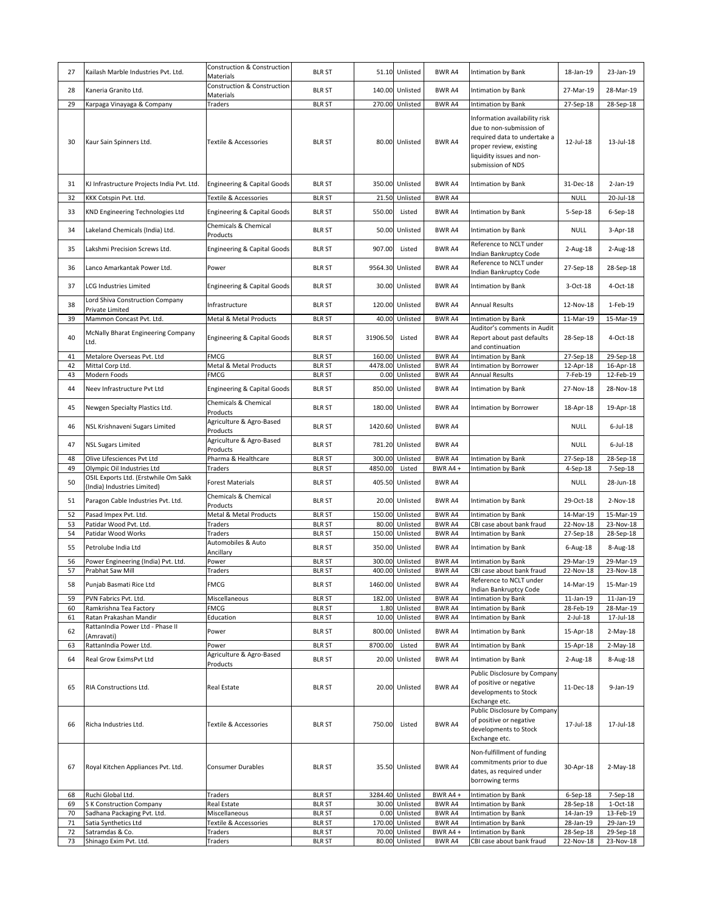| 27 | Kailash Marble Industries Pvt. Ltd.                                 | Construction & Construction<br>Materials | <b>BLR ST</b> |          | 51.10 Unlisted   | BWR A4        | Intimation by Bank                                                                                                                                                     | 18-Jan-19    | 23-Jan-19       |
|----|---------------------------------------------------------------------|------------------------------------------|---------------|----------|------------------|---------------|------------------------------------------------------------------------------------------------------------------------------------------------------------------------|--------------|-----------------|
| 28 | Kaneria Granito Ltd.                                                | Construction & Construction<br>Materials | <b>BLR ST</b> |          | 140.00 Unlisted  | <b>BWR A4</b> | Intimation by Bank                                                                                                                                                     | 27-Mar-19    | 28-Mar-19       |
| 29 | Karpaga Vinayaga & Company                                          | Traders                                  | <b>BLR ST</b> |          | 270.00 Unlisted  | BWR A4        | Intimation by Bank                                                                                                                                                     | 27-Sep-18    | 28-Sep-18       |
| 30 | Kaur Sain Spinners Ltd.                                             | Textile & Accessories                    | <b>BLR ST</b> |          | 80.00 Unlisted   | BWR A4        | Information availability risk<br>due to non-submission of<br>required data to undertake a<br>proper review, existing<br>liquidity issues and non-<br>submission of NDS | 12-Jul-18    | 13-Jul-18       |
| 31 | KJ Infrastructure Projects India Pvt. Ltd.                          | <b>Engineering &amp; Capital Goods</b>   | <b>BLR ST</b> |          | 350.00 Unlisted  | BWR A4        | Intimation by Bank                                                                                                                                                     | 31-Dec-18    | $2$ -Jan-19     |
| 32 | KKK Cotspin Pvt. Ltd.                                               | Textile & Accessories                    | <b>BLR ST</b> |          | 21.50 Unlisted   | BWR A4        |                                                                                                                                                                        | <b>NULL</b>  | 20-Jul-18       |
| 33 | KND Engineering Technologies Ltd                                    | <b>Engineering &amp; Capital Goods</b>   | <b>BLR ST</b> | 550.00   | Listed           | BWR A4        | Intimation by Bank                                                                                                                                                     | 5-Sep-18     | 6-Sep-18        |
| 34 | Lakeland Chemicals (India) Ltd.                                     | Chemicals & Chemical<br>Products         | <b>BLR ST</b> | 50.00    | Unlisted         | BWR A4        | Intimation by Bank                                                                                                                                                     | NULL         | $3-Apr-18$      |
| 35 | Lakshmi Precision Screws Ltd.                                       | <b>Engineering &amp; Capital Goods</b>   | <b>BLR ST</b> | 907.00   | Listed           | BWR A4        | Reference to NCLT under<br>Indian Bankruptcy Code                                                                                                                      | $2$ -Aug-18  | $2$ -Aug-18     |
| 36 | Lanco Amarkantak Power Ltd.                                         | Power                                    | <b>BLR ST</b> |          | 9564.30 Unlisted | BWR A4        | Reference to NCLT under<br>Indian Bankruptcy Code                                                                                                                      | 27-Sep-18    | 28-Sep-18       |
| 37 | <b>LCG Industries Limited</b>                                       | Engineering & Capital Goods              | <b>BLR ST</b> |          | 30.00 Unlisted   | BWR A4        | Intimation by Bank                                                                                                                                                     | 3-Oct-18     | 4-Oct-18        |
| 38 | Lord Shiva Construction Company<br>Private Limited                  | Infrastructure                           | <b>BLR ST</b> |          | 120.00 Unlisted  | BWR A4        | <b>Annual Results</b>                                                                                                                                                  | 12-Nov-18    | 1-Feb-19        |
| 39 | Mammon Concast Pvt. Ltd.                                            | <b>Metal &amp; Metal Products</b>        | <b>BLR ST</b> | 40.00    | Unlisted         | BWR A4        | Intimation by Bank                                                                                                                                                     | 11-Mar-19    | 15-Mar-19       |
| 40 | McNally Bharat Engineering Company<br>Ltd.                          | <b>Engineering &amp; Capital Goods</b>   | <b>BLR ST</b> | 31906.50 | Listed           | BWR A4        | Auditor's comments in Audit<br>Report about past defaults<br>and continuation                                                                                          | 28-Sep-18    | 4-Oct-18        |
| 41 | Metalore Overseas Pvt. Ltd                                          | <b>FMCG</b>                              | <b>BLR ST</b> | 160.00   | Unlisted         | BWR A4        | Intimation by Bank                                                                                                                                                     | 27-Sep-18    | 29-Sep-18       |
| 42 | Mittal Corp Ltd.                                                    | Metal & Metal Products                   | <b>BLR ST</b> |          | 4478.00 Unlisted | BWR A4        | Intimation by Borrower                                                                                                                                                 | 12-Apr-18    | 16-Apr-18       |
| 43 | Modern Foods                                                        | <b>FMCG</b>                              | <b>BLR ST</b> |          | 0.00 Unlisted    | BWR A4        | <b>Annual Results</b>                                                                                                                                                  | 7-Feb-19     | 12-Feb-19       |
| 44 | Neev Infrastructure Pvt Ltd                                         | Engineering & Capital Goods              | <b>BLR ST</b> |          | 850.00 Unlisted  | BWR A4        | Intimation by Bank                                                                                                                                                     | 27-Nov-18    | 28-Nov-18       |
| 45 | Newgen Specialty Plastics Ltd.                                      | Chemicals & Chemical<br>Products         | <b>BLR ST</b> |          | 180.00 Unlisted  | BWR A4        | Intimation by Borrower                                                                                                                                                 | 18-Apr-18    | 19-Apr-18       |
| 46 | NSL Krishnaveni Sugars Limited                                      | Agriculture & Agro-Based<br>Products     | <b>BLR ST</b> |          | 1420.60 Unlisted | BWR A4        |                                                                                                                                                                        | <b>NULL</b>  | $6$ -Jul-18     |
| 47 | <b>NSL Sugars Limited</b>                                           | Agriculture & Agro-Based<br>Products     | <b>BLR ST</b> |          | 781.20 Unlisted  | BWR A4        |                                                                                                                                                                        | <b>NULL</b>  | $6$ -Jul-18     |
| 48 | Olive Lifesciences Pvt Ltd                                          | Pharma & Healthcare                      | <b>BLR ST</b> | 300.00   | Unlisted         | BWR A4        | Intimation by Bank                                                                                                                                                     | 27-Sep-18    | 28-Sep-18       |
| 49 | Olympic Oil Industries Ltd                                          | Traders                                  | <b>BLR ST</b> | 4850.00  | Listed           | BWR A4+       | Intimation by Bank                                                                                                                                                     | 4-Sep-18     | 7-Sep-18        |
| 50 | OSIL Exports Ltd. (Erstwhile Om Sakk<br>(India) Industries Limited) | <b>Forest Materials</b>                  | <b>BLR ST</b> |          | 405.50 Unlisted  | BWR A4        |                                                                                                                                                                        | <b>NULL</b>  | 28-Jun-18       |
| 51 | Paragon Cable Industries Pvt. Ltd.                                  | Chemicals & Chemical<br>Products         | <b>BLR ST</b> |          | 20.00 Unlisted   | BWR A4        | Intimation by Bank                                                                                                                                                     | 29-Oct-18    | 2-Nov-18        |
| 52 | Pasad Impex Pvt. Ltd.                                               | Metal & Metal Products                   | <b>BLR ST</b> |          | 150.00 Unlisted  | BWR A4        | Intimation by Bank                                                                                                                                                     | 14-Mar-19    | 15-Mar-19       |
| 53 | Patidar Wood Pvt. Ltd.                                              | Traders                                  | <b>BLR ST</b> |          | 80.00 Unlisted   | BWR A4        | CBI case about bank fraud                                                                                                                                              | 22-Nov-18    | 23-Nov-18       |
| 54 | Patidar Wood Works                                                  | Traders                                  | <b>BLR ST</b> |          | 150.00 Unlisted  | BWR A4        | <b>Intimation by Bank</b>                                                                                                                                              | 27-Sep-18    | 28-Sep-18       |
| 55 | Petrolube India Ltd                                                 | Automobiles & Auto<br>Ancillary          | <b>BLR ST</b> |          | 350.00 Unlisted  | BWR A4        | Intimation by Bank                                                                                                                                                     | 6-Aug-18     | 8-Aug-18        |
| 56 | Power Engineering (India) Pvt. Ltd.                                 | Power                                    | <b>BLR ST</b> |          | 300.00 Unlisted  | BWR A4        | Intimation by Bank                                                                                                                                                     | 29-Mar-19    | 29-Mar-19       |
| 57 | Prabhat Saw Mill                                                    | Traders                                  | <b>BLR ST</b> |          | 400.00 Unlisted  | BWR A4        | CBI case about bank fraud                                                                                                                                              | 22-Nov-18    | 23-Nov-18       |
| 58 | Punjab Basmati Rice Ltd                                             | <b>FMCG</b>                              | <b>BLR ST</b> |          | 1460.00 Unlisted | BWR A4        | Reference to NCLI under<br>Indian Bankruptcy Code                                                                                                                      | 14-Mar-19    | 15-Mar-19       |
| 59 | PVN Fabrics Pvt. Ltd.                                               | Miscellaneous                            | <b>BLR ST</b> |          | 182.00 Unlisted  | BWR A4        | Intimation by Bank                                                                                                                                                     | $11$ -Jan-19 | $11$ -Jan- $19$ |
| 60 | Ramkrishna Tea Factory                                              | <b>FMCG</b>                              | <b>BLR ST</b> |          | 1.80 Unlisted    | BWR A4        | Intimation by Bank                                                                                                                                                     | 28-Feb-19    | 28-Mar-19       |
| 61 | Ratan Prakashan Mandir                                              | Education                                | <b>BLR ST</b> |          | 10.00 Unlisted   | BWR A4        | Intimation by Bank                                                                                                                                                     | $2$ -Jul-18  | 17-Jul-18       |
| 62 | RattanIndia Power Ltd - Phase II<br>(Amravati)                      | Power                                    | <b>BLR ST</b> | 800.00   | Unlisted         | BWR A4        | Intimation by Bank                                                                                                                                                     | 15-Apr-18    | $2-May-18$      |
| 63 | RattanIndia Power Ltd.                                              | Power                                    | <b>BLR ST</b> | 8700.00  | Listed           | BWR A4        | Intimation by Bank                                                                                                                                                     | 15-Apr-18    | $2-May-18$      |
| 64 | Real Grow EximsPvt Ltd                                              | Agriculture & Agro-Based<br>Products     | <b>BLR ST</b> | 20.00    | Unlisted         | BWR A4        | Intimation by Bank                                                                                                                                                     | 2-Aug-18     | 8-Aug-18        |
| 65 | RIA Constructions Ltd.                                              | <b>Real Estate</b>                       | <b>BLR ST</b> |          | 20.00 Unlisted   | BWR A4        | Public Disclosure by Company<br>of positive or negative<br>developments to Stock<br>Exchange etc.                                                                      | 11-Dec-18    | 9-Jan-19        |
| 66 | Richa Industries Ltd.                                               | Textile & Accessories                    | <b>BLR ST</b> | 750.00   | Listed           | BWR A4        | Public Disclosure by Company<br>of positive or negative<br>developments to Stock<br>Exchange etc.                                                                      | 17-Jul-18    | 17-Jul-18       |
| 67 | Royal Kitchen Appliances Pvt. Ltd.                                  | Consumer Durables                        | <b>BLR ST</b> |          | 35.50 Unlisted   | BWR A4        | Non-fulfillment of funding<br>commitments prior to due<br>dates, as required under<br>borrowing terms                                                                  | 30-Apr-18    | $2-May-18$      |
| 68 | Ruchi Global Ltd.                                                   | Traders                                  | <b>BLR ST</b> |          | 3284.40 Unlisted | BWR A4+       | Intimation by Bank                                                                                                                                                     | 6-Sep-18     | 7-Sep-18        |
| 69 | S K Construction Company                                            | Real Estate                              | <b>BLR ST</b> |          | 30.00 Unlisted   | BWR A4        | Intimation by Bank                                                                                                                                                     | 28-Sep-18    | $1-Oct-18$      |
| 70 | Sadhana Packaging Pvt. Ltd.                                         | Miscellaneous                            | <b>BLR ST</b> |          | 0.00 Unlisted    | BWR A4        | Intimation by Bank                                                                                                                                                     | 14-Jan-19    | 13-Feb-19       |
| 71 | Satia Synthetics Ltd                                                | Textile & Accessories                    | <b>BLR ST</b> |          | 170.00 Unlisted  | BWR A4        | Intimation by Bank                                                                                                                                                     | 28-Jan-19    | 29-Jan-19       |
| 72 | Satramdas & Co.                                                     | Traders                                  | <b>BLR ST</b> |          | 70.00 Unlisted   | BWR A4+       | Intimation by Bank                                                                                                                                                     | 28-Sep-18    | 29-Sep-18       |
| 73 | Shinago Exim Pvt. Ltd.                                              | Traders                                  | <b>BLR ST</b> |          | 80.00 Unlisted   | BWR A4        | CBI case about bank fraud                                                                                                                                              | 22-Nov-18    | 23-Nov-18       |
|    |                                                                     |                                          |               |          |                  |               |                                                                                                                                                                        |              |                 |